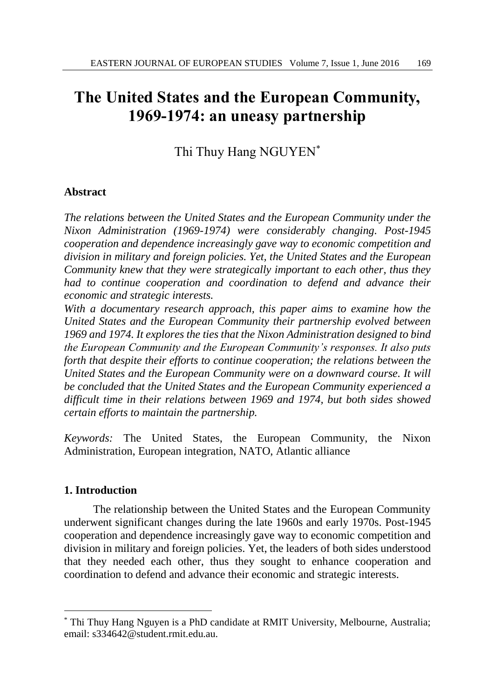# **The United States and the European Community, 1969-1974: an uneasy partnership**

Thi Thuy Hang NGUYEN\*

# **Abstract**

*The relations between the United States and the European Community under the Nixon Administration (1969-1974) were considerably changing. Post-1945 cooperation and dependence increasingly gave way to economic competition and division in military and foreign policies. Yet, the United States and the European Community knew that they were strategically important to each other, thus they had to continue cooperation and coordination to defend and advance their economic and strategic interests.* 

*With a documentary research approach, this paper aims to examine how the United States and the European Community their partnership evolved between 1969 and 1974. It explores the ties that the Nixon Administration designed to bind the European Community and the European Community's responses. It also puts forth that despite their efforts to continue cooperation; the relations between the United States and the European Community were on a downward course. It will be concluded that the United States and the European Community experienced a difficult time in their relations between 1969 and 1974, but both sides showed certain efforts to maintain the partnership.* 

*Keywords:* The United States, the European Community, the Nixon Administration, European integration, NATO, Atlantic alliance

## **1. Introduction**

l

The relationship between the United States and the European Community underwent significant changes during the late 1960s and early 1970s. Post-1945 cooperation and dependence increasingly gave way to economic competition and division in military and foreign policies. Yet, the leaders of both sides understood that they needed each other, thus they sought to enhance cooperation and coordination to defend and advance their economic and strategic interests.

<sup>\*</sup> Thi Thuy Hang Nguyen is a PhD candidate at RMIT University, Melbourne, Australia; email: s334642@student.rmit.edu.au.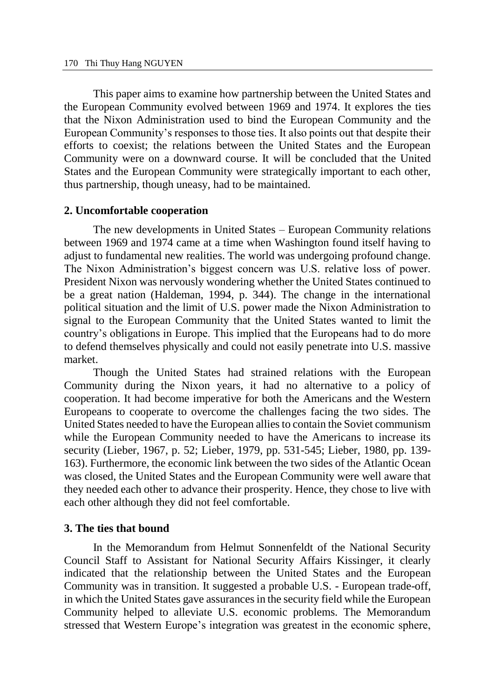This paper aims to examine how partnership between the United States and the European Community evolved between 1969 and 1974. It explores the ties that the Nixon Administration used to bind the European Community and the European Community's responses to those ties. It also points out that despite their efforts to coexist; the relations between the United States and the European Community were on a downward course. It will be concluded that the United States and the European Community were strategically important to each other, thus partnership, though uneasy, had to be maintained.

## **2. Uncomfortable cooperation**

The new developments in United States – European Community relations between 1969 and 1974 came at a time when Washington found itself having to adjust to fundamental new realities. The world was undergoing profound change. The Nixon Administration's biggest concern was U.S. relative loss of power. President Nixon was nervously wondering whether the United States continued to be a great nation (Haldeman, 1994, p. 344). The change in the international political situation and the limit of U.S. power made the Nixon Administration to signal to the European Community that the United States wanted to limit the country's obligations in Europe. This implied that the Europeans had to do more to defend themselves physically and could not easily penetrate into U.S. massive market.

Though the United States had strained relations with the European Community during the Nixon years, it had no alternative to a policy of cooperation. It had become imperative for both the Americans and the Western Europeans to cooperate to overcome the challenges facing the two sides. The United States needed to have the European allies to contain the Soviet communism while the European Community needed to have the Americans to increase its security (Lieber, 1967, p. 52; Lieber, 1979, pp. 531-545; Lieber, 1980, pp. 139- 163). Furthermore, the economic link between the two sides of the Atlantic Ocean was closed, the United States and the European Community were well aware that they needed each other to advance their prosperity. Hence, they chose to live with each other although they did not feel comfortable.

## **3. The ties that bound**

In the Memorandum from Helmut Sonnenfeldt of the National Security Council Staff to Assistant for National Security Affairs Kissinger, it clearly indicated that the relationship between the United States and the European Community was in transition. It suggested a probable U.S. - European trade-off, in which the United States gave assurances in the security field while the European Community helped to alleviate U.S. economic problems. The Memorandum stressed that Western Europe's integration was greatest in the economic sphere,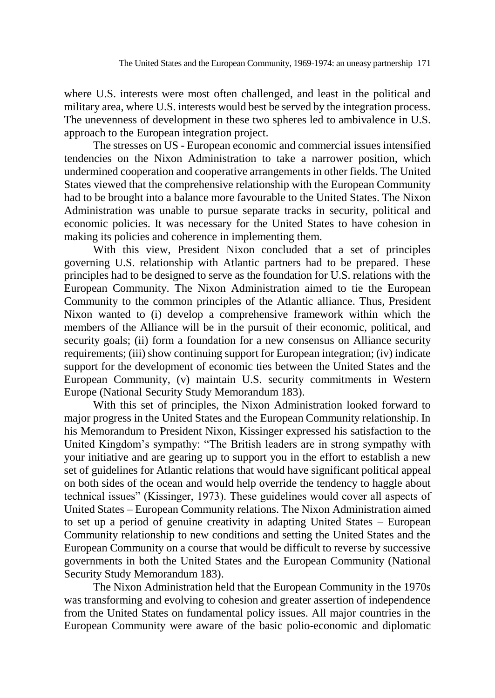where U.S. interests were most often challenged, and least in the political and military area, where U.S. interests would best be served by the integration process. The unevenness of development in these two spheres led to ambivalence in U.S. approach to the European integration project.

The stresses on US - European economic and commercial issues intensified tendencies on the Nixon Administration to take a narrower position, which undermined cooperation and cooperative arrangements in other fields. The United States viewed that the comprehensive relationship with the European Community had to be brought into a balance more favourable to the United States. The Nixon Administration was unable to pursue separate tracks in security, political and economic policies. It was necessary for the United States to have cohesion in making its policies and coherence in implementing them.

With this view, President Nixon concluded that a set of principles governing U.S. relationship with Atlantic partners had to be prepared. These principles had to be designed to serve as the foundation for U.S. relations with the European Community. The Nixon Administration aimed to tie the European Community to the common principles of the Atlantic alliance. Thus, President Nixon wanted to (i) develop a comprehensive framework within which the members of the Alliance will be in the pursuit of their economic, political, and security goals; (ii) form a foundation for a new consensus on Alliance security requirements; (iii) show continuing support for European integration; (iv) indicate support for the development of economic ties between the United States and the European Community, (v) maintain U.S. security commitments in Western Europe (National Security Study Memorandum 183).

With this set of principles, the Nixon Administration looked forward to major progress in the United States and the European Community relationship. In his Memorandum to President Nixon, Kissinger expressed his satisfaction to the United Kingdom's sympathy: "The British leaders are in strong sympathy with your initiative and are gearing up to support you in the effort to establish a new set of guidelines for Atlantic relations that would have significant political appeal on both sides of the ocean and would help override the tendency to haggle about technical issues" (Kissinger, 1973). These guidelines would cover all aspects of United States – European Community relations. The Nixon Administration aimed to set up a period of genuine creativity in adapting United States – European Community relationship to new conditions and setting the United States and the European Community on a course that would be difficult to reverse by successive governments in both the United States and the European Community (National Security Study Memorandum 183).

The Nixon Administration held that the European Community in the 1970s was transforming and evolving to cohesion and greater assertion of independence from the United States on fundamental policy issues. All major countries in the European Community were aware of the basic polio-economic and diplomatic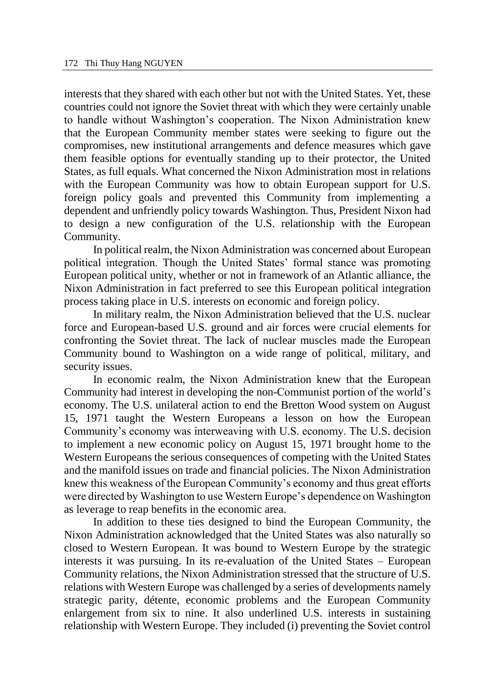interests that they shared with each other but not with the United States. Yet, these countries could not ignore the Soviet threat with which they were certainly unable to handle without Washington's cooperation. The Nixon Administration knew that the European Community member states were seeking to figure out the compromises, new institutional arrangements and defence measures which gave them feasible options for eventually standing up to their protector, the United States, as full equals. What concerned the Nixon Administration most in relations with the European Community was how to obtain European support for U.S. foreign policy goals and prevented this Community from implementing a dependent and unfriendly policy towards Washington. Thus, President Nixon had to design a new configuration of the U.S. relationship with the European Community.

In political realm, the Nixon Administration was concerned about European political integration. Though the United States' formal stance was promoting European political unity, whether or not in framework of an Atlantic alliance, the Nixon Administration in fact preferred to see this European political integration process taking place in U.S. interests on economic and foreign policy.

In military realm, the Nixon Administration believed that the U.S. nuclear force and European-based U.S. ground and air forces were crucial elements for confronting the Soviet threat. The lack of nuclear muscles made the European Community bound to Washington on a wide range of political, military, and security issues.

In economic realm, the Nixon Administration knew that the European Community had interest in developing the non-Communist portion of the world's economy. The U.S. unilateral action to end the Bretton Wood system on August 15, 1971 taught the Western Europeans a lesson on how the European Community's economy was interweaving with U.S. economy. The U.S. decision to implement a new economic policy on August 15, 1971 brought home to the Western Europeans the serious consequences of competing with the United States and the manifold issues on trade and financial policies. The Nixon Administration knew this weakness of the European Community's economy and thus great efforts were directed by Washington to use Western Europe's dependence on Washington as leverage to reap benefits in the economic area.

In addition to these ties designed to bind the European Community, the Nixon Administration acknowledged that the United States was also naturally so closed to Western European. It was bound to Western Europe by the strategic interests it was pursuing. In its re-evaluation of the United States – European Community relations, the Nixon Administration stressed that the structure of U.S. relations with Western Europe was challenged by a series of developments namely strategic parity, détente, economic problems and the European Community enlargement from six to nine. It also underlined U.S. interests in sustaining relationship with Western Europe. They included (i) preventing the Soviet control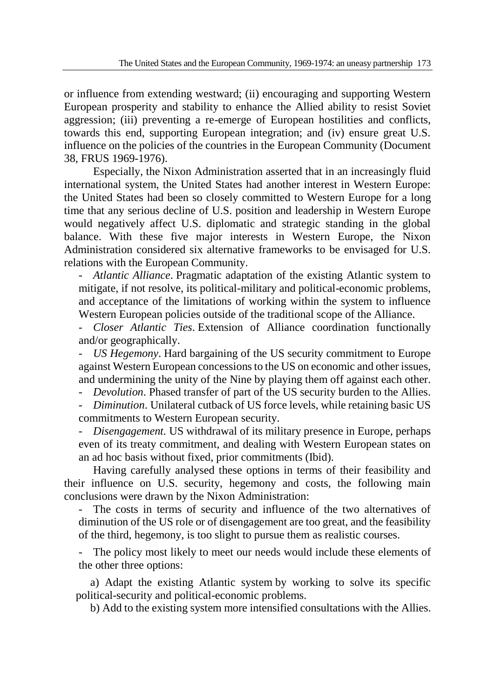or influence from extending westward; (ii) encouraging and supporting Western European prosperity and stability to enhance the Allied ability to resist Soviet aggression; (iii) preventing a re-emerge of European hostilities and conflicts, towards this end, supporting European integration; and (iv) ensure great U.S. influence on the policies of the countries in the European Community (Document 38, FRUS 1969-1976).

Especially, the Nixon Administration asserted that in an increasingly fluid international system, the United States had another interest in Western Europe: the United States had been so closely committed to Western Europe for a long time that any serious decline of U.S. position and leadership in Western Europe would negatively affect U.S. diplomatic and strategic standing in the global balance. With these five major interests in Western Europe, the Nixon Administration considered six alternative frameworks to be envisaged for U.S. relations with the European Community.

- *Atlantic Alliance*. Pragmatic adaptation of the existing Atlantic system to mitigate, if not resolve, its political-military and political-economic problems, and acceptance of the limitations of working within the system to influence Western European policies outside of the traditional scope of the Alliance.

- *Closer Atlantic Ties*. Extension of Alliance coordination functionally and/or geographically.

- *US Hegemony*. Hard bargaining of the US security commitment to Europe against Western European concessions to the US on economic and other issues, and undermining the unity of the Nine by playing them off against each other.

- *Devolution*. Phased transfer of part of the US security burden to the Allies.

- *Diminution*. Unilateral cutback of US force levels, while retaining basic US commitments to Western European security.

- *Disengagement.* US withdrawal of its military presence in Europe, perhaps even of its treaty commitment, and dealing with Western European states on an ad hoc basis without fixed, prior commitments (Ibid).

Having carefully analysed these options in terms of their feasibility and their influence on U.S. security, hegemony and costs, the following main conclusions were drawn by the Nixon Administration:

The costs in terms of security and influence of the two alternatives of diminution of the US role or of disengagement are too great, and the feasibility of the third, hegemony, is too slight to pursue them as realistic courses.

The policy most likely to meet our needs would include these elements of the other three options:

a) Adapt the existing Atlantic system by working to solve its specific political-security and political-economic problems.

b) Add to the existing system more intensified consultations with the Allies.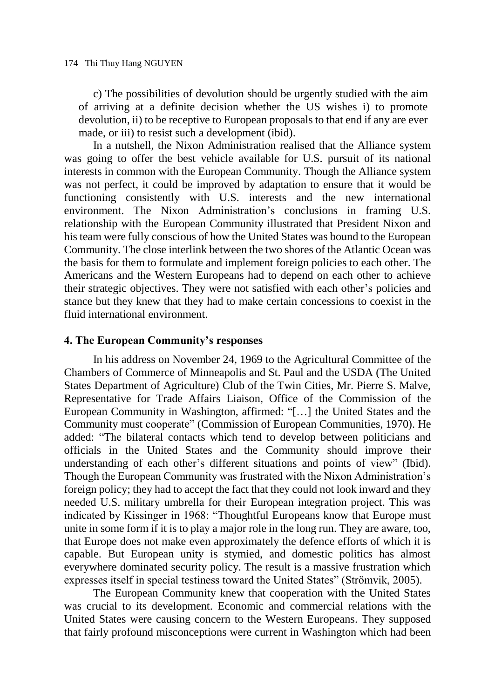c) The possibilities of devolution should be urgently studied with the aim of arriving at a definite decision whether the US wishes i) to promote devolution, ii) to be receptive to European proposals to that end if any are ever made, or iii) to resist such a development (ibid).

In a nutshell, the Nixon Administration realised that the Alliance system was going to offer the best vehicle available for U.S. pursuit of its national interests in common with the European Community. Though the Alliance system was not perfect, it could be improved by adaptation to ensure that it would be functioning consistently with U.S. interests and the new international environment. The Nixon Administration's conclusions in framing U.S. relationship with the European Community illustrated that President Nixon and his team were fully conscious of how the United States was bound to the European Community. The close interlink between the two shores of the Atlantic Ocean was the basis for them to formulate and implement foreign policies to each other. The Americans and the Western Europeans had to depend on each other to achieve their strategic objectives. They were not satisfied with each other's policies and stance but they knew that they had to make certain concessions to coexist in the fluid international environment.

#### **4. The European Community's responses**

In his address on November 24, 1969 to the Agricultural Committee of the Chambers of Commerce of Minneapolis and St. Paul and the USDA (The United States Department of Agriculture) Club of the Twin Cities, Mr. Pierre S. Malve, Representative for Trade Affairs Liaison, Office of the Commission of the European Community in Washington, affirmed: "[…] the United States and the Community must cooperate" (Commission of European Communities, 1970). He added: "The bilateral contacts which tend to develop between politicians and officials in the United States and the Community should improve their understanding of each other's different situations and points of view" (Ibid). Though the European Community was frustrated with the Nixon Administration's foreign policy; they had to accept the fact that they could not look inward and they needed U.S. military umbrella for their European integration project. This was indicated by Kissinger in 1968: "Thoughtful Europeans know that Europe must unite in some form if it is to play a major role in the long run. They are aware, too, that Europe does not make even approximately the defence efforts of which it is capable. But European unity is stymied, and domestic politics has almost everywhere dominated security policy. The result is a massive frustration which expresses itself in special testiness toward the United States" (Strömvik, 2005).

The European Community knew that cooperation with the United States was crucial to its development. Economic and commercial relations with the United States were causing concern to the Western Europeans. They supposed that fairly profound misconceptions were current in Washington which had been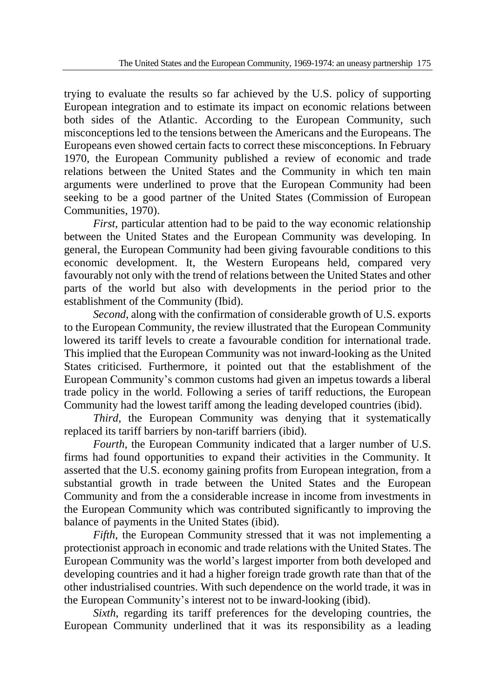trying to evaluate the results so far achieved by the U.S. policy of supporting European integration and to estimate its impact on economic relations between both sides of the Atlantic. According to the European Community, such misconceptions led to the tensions between the Americans and the Europeans. The Europeans even showed certain facts to correct these misconceptions. In February 1970, the European Community published a review of economic and trade relations between the United States and the Community in which ten main arguments were underlined to prove that the European Community had been seeking to be a good partner of the United States (Commission of European Communities, 1970).

*First*, particular attention had to be paid to the way economic relationship between the United States and the European Community was developing. In general, the European Community had been giving favourable conditions to this economic development. It, the Western Europeans held, compared very favourably not only with the trend of relations between the United States and other parts of the world but also with developments in the period prior to the establishment of the Community (Ibid).

*Second*, along with the confirmation of considerable growth of U.S. exports to the European Community, the review illustrated that the European Community lowered its tariff levels to create a favourable condition for international trade. This implied that the European Community was not inward-looking as the United States criticised. Furthermore, it pointed out that the establishment of the European Community's common customs had given an impetus towards a liberal trade policy in the world. Following a series of tariff reductions, the European Community had the lowest tariff among the leading developed countries (ibid).

*Third*, the European Community was denying that it systematically replaced its tariff barriers by non-tariff barriers (ibid).

*Fourth*, the European Community indicated that a larger number of U.S. firms had found opportunities to expand their activities in the Community. It asserted that the U.S. economy gaining profits from European integration, from a substantial growth in trade between the United States and the European Community and from the a considerable increase in income from investments in the European Community which was contributed significantly to improving the balance of payments in the United States (ibid).

*Fifth*, the European Community stressed that it was not implementing a protectionist approach in economic and trade relations with the United States. The European Community was the world's largest importer from both developed and developing countries and it had a higher foreign trade growth rate than that of the other industrialised countries. With such dependence on the world trade, it was in the European Community's interest not to be inward-looking (ibid).

*Sixth*, regarding its tariff preferences for the developing countries, the European Community underlined that it was its responsibility as a leading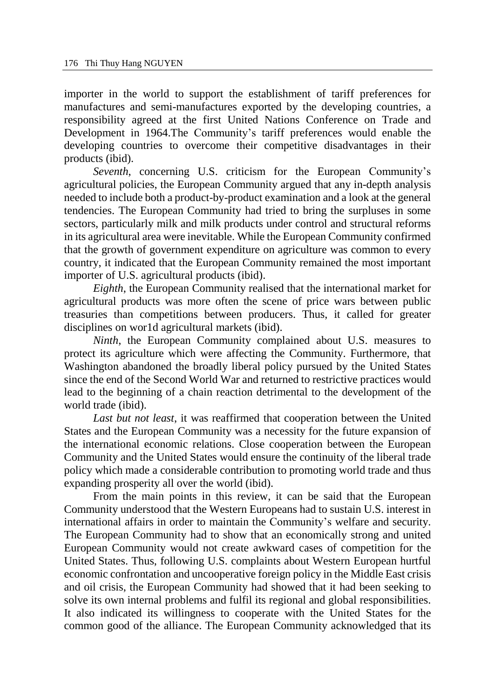importer in the world to support the establishment of tariff preferences for manufactures and semi-manufactures exported by the developing countries, a responsibility agreed at the first United Nations Conference on Trade and Development in 1964.The Community's tariff preferences would enable the developing countries to overcome their competitive disadvantages in their products (ibid).

*Seventh*, concerning U.S. criticism for the European Community's agricultural policies, the European Community argued that any in-depth analysis needed to include both a product-by-product examination and a look at the general tendencies. The European Community had tried to bring the surpluses in some sectors, particularly milk and milk products under control and structural reforms in its agricultural area were inevitable. While the European Community confirmed that the growth of government expenditure on agriculture was common to every country, it indicated that the European Community remained the most important importer of U.S. agricultural products (ibid).

*Eighth*, the European Community realised that the international market for agricultural products was more often the scene of price wars between public treasuries than competitions between producers. Thus, it called for greater disciplines on wor1d agricultural markets (ibid).

*Ninth*, the European Community complained about U.S. measures to protect its agriculture which were affecting the Community. Furthermore, that Washington abandoned the broadly liberal policy pursued by the United States since the end of the Second World War and returned to restrictive practices would lead to the beginning of a chain reaction detrimental to the development of the world trade (ibid).

*Last but not least*, it was reaffirmed that cooperation between the United States and the European Community was a necessity for the future expansion of the international economic relations. Close cooperation between the European Community and the United States would ensure the continuity of the liberal trade policy which made a considerable contribution to promoting world trade and thus expanding prosperity all over the world (ibid).

From the main points in this review, it can be said that the European Community understood that the Western Europeans had to sustain U.S. interest in international affairs in order to maintain the Community's welfare and security. The European Community had to show that an economically strong and united European Community would not create awkward cases of competition for the United States. Thus, following U.S. complaints about Western European hurtful economic confrontation and uncooperative foreign policy in the Middle East crisis and oil crisis, the European Community had showed that it had been seeking to solve its own internal problems and fulfil its regional and global responsibilities. It also indicated its willingness to cooperate with the United States for the common good of the alliance. The European Community acknowledged that its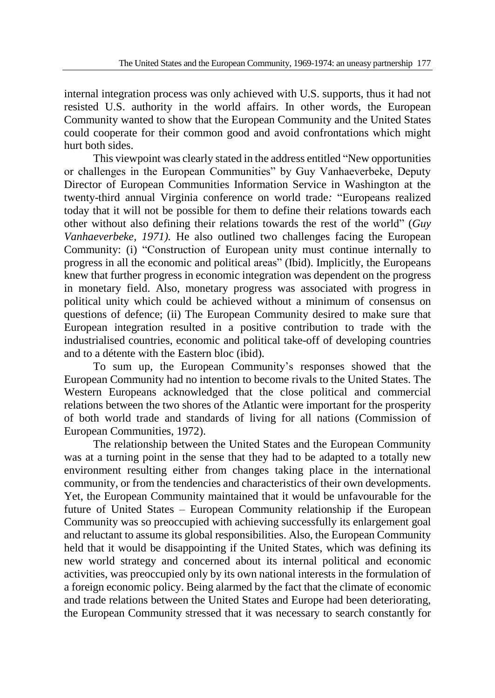internal integration process was only achieved with U.S. supports, thus it had not resisted U.S. authority in the world affairs. In other words, the European Community wanted to show that the European Community and the United States could cooperate for their common good and avoid confrontations which might hurt both sides.

This viewpoint was clearly stated in the address entitled "New opportunities or challenges in the European Communities" by Guy Vanhaeverbeke, Deputy Director of European Communities Information Service in Washington at the twenty-third annual Virginia conference on world trade*:* "Europeans realized today that it will not be possible for them to define their relations towards each other without also defining their relations towards the rest of the world" (*Guy Vanhaeverbeke, 1971).* He also outlined two challenges facing the European Community: (i) "Construction of European unity must continue internally to progress in all the economic and political areas" (Ibid). Implicitly, the Europeans knew that further progress in economic integration was dependent on the progress in monetary field. Also, monetary progress was associated with progress in political unity which could be achieved without a minimum of consensus on questions of defence; (ii) The European Community desired to make sure that European integration resulted in a positive contribution to trade with the industrialised countries, economic and political take-off of developing countries and to a détente with the Eastern bloc (ibid).

To sum up, the European Community's responses showed that the European Community had no intention to become rivals to the United States. The Western Europeans acknowledged that the close political and commercial relations between the two shores of the Atlantic were important for the prosperity of both world trade and standards of living for all nations (Commission of European Communities, 1972).

The relationship between the United States and the European Community was at a turning point in the sense that they had to be adapted to a totally new environment resulting either from changes taking place in the international community, or from the tendencies and characteristics of their own developments. Yet, the European Community maintained that it would be unfavourable for the future of United States – European Community relationship if the European Community was so preoccupied with achieving successfully its enlargement goal and reluctant to assume its global responsibilities. Also, the European Community held that it would be disappointing if the United States, which was defining its new world strategy and concerned about its internal political and economic activities, was preoccupied only by its own national interests in the formulation of a foreign economic policy. Being alarmed by the fact that the climate of economic and trade relations between the United States and Europe had been deteriorating, the European Community stressed that it was necessary to search constantly for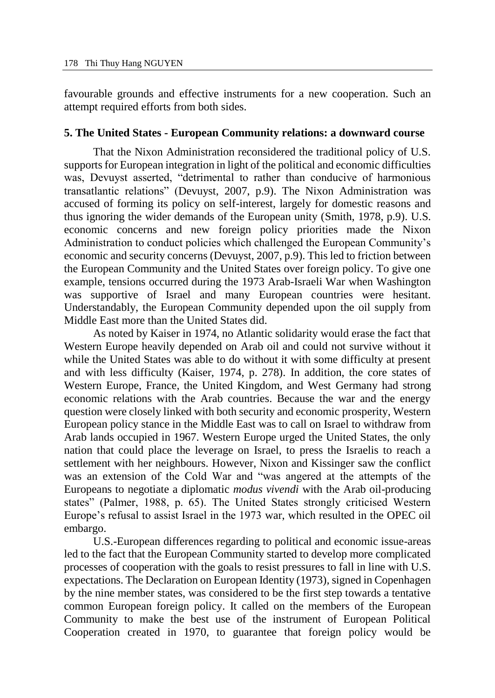favourable grounds and effective instruments for a new cooperation. Such an attempt required efforts from both sides.

#### **5. The United States - European Community relations: a downward course**

That the Nixon Administration reconsidered the traditional policy of U.S. supports for European integration in light of the political and economic difficulties was, Devuyst asserted, "detrimental to rather than conducive of harmonious transatlantic relations" (Devuyst, 2007, p.9). The Nixon Administration was accused of forming its policy on self-interest, largely for domestic reasons and thus ignoring the wider demands of the European unity (Smith, 1978, p.9). U.S. economic concerns and new foreign policy priorities made the Nixon Administration to conduct policies which challenged the European Community's economic and security concerns (Devuyst, 2007, p.9). This led to friction between the European Community and the United States over foreign policy. To give one example, tensions occurred during the 1973 Arab-Israeli War when Washington was supportive of Israel and many European countries were hesitant. Understandably, the European Community depended upon the oil supply from Middle East more than the United States did.

As noted by Kaiser in 1974, no Atlantic solidarity would erase the fact that Western Europe heavily depended on Arab oil and could not survive without it while the United States was able to do without it with some difficulty at present and with less difficulty (Kaiser, 1974, p. 278). In addition, the core states of Western Europe, France, the United Kingdom, and West Germany had strong economic relations with the Arab countries. Because the war and the energy question were closely linked with both security and economic prosperity, Western European policy stance in the Middle East was to call on Israel to withdraw from Arab lands occupied in 1967. Western Europe urged the United States, the only nation that could place the leverage on Israel, to press the Israelis to reach a settlement with her neighbours. However, Nixon and Kissinger saw the conflict was an extension of the Cold War and "was angered at the attempts of the Europeans to negotiate a diplomatic *modus vivendi* with the Arab oil-producing states" (Palmer, 1988, p. 65). The United States strongly criticised Western Europe's refusal to assist Israel in the 1973 war, which resulted in the OPEC oil embargo.

U.S.-European differences regarding to political and economic issue-areas led to the fact that the European Community started to develop more complicated processes of cooperation with the goals to resist pressures to fall in line with U.S. expectations. The Declaration on European Identity (1973)*,* signed in Copenhagen by the nine member states, was considered to be the first step towards a tentative common European foreign policy. It called on the members of the European Community to make the best use of the instrument of European Political Cooperation created in 1970, to guarantee that foreign policy would be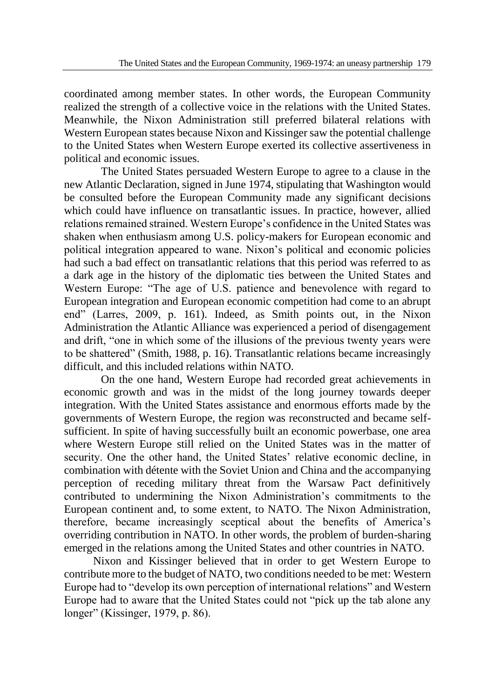coordinated among member states. In other words, the European Community realized the strength of a collective voice in the relations with the United States. Meanwhile, the Nixon Administration still preferred bilateral relations with Western European states because Nixon and Kissinger saw the potential challenge to the United States when Western Europe exerted its collective assertiveness in political and economic issues.

The United States persuaded Western Europe to agree to a clause in the new Atlantic Declaration, signed in June 1974, stipulating that Washington would be consulted before the European Community made any significant decisions which could have influence on transatlantic issues. In practice, however, allied relations remained strained. Western Europe's confidence in the United States was shaken when enthusiasm among U.S. policy-makers for European economic and political integration appeared to wane. Nixon's political and economic policies had such a bad effect on transatlantic relations that this period was referred to as a dark age in the history of the diplomatic ties between the United States and Western Europe: "The age of U.S. patience and benevolence with regard to European integration and European economic competition had come to an abrupt end" (Larres, 2009, p. 161). Indeed, as Smith points out, in the Nixon Administration the Atlantic Alliance was experienced a period of disengagement and drift, "one in which some of the illusions of the previous twenty years were to be shattered" (Smith, 1988, p. 16). Transatlantic relations became increasingly difficult, and this included relations within NATO.

On the one hand, Western Europe had recorded great achievements in economic growth and was in the midst of the long journey towards deeper integration. With the United States assistance and enormous efforts made by the governments of Western Europe, the region was reconstructed and became selfsufficient. In spite of having successfully built an economic powerbase, one area where Western Europe still relied on the United States was in the matter of security. One the other hand, the United States' relative economic decline, in combination with détente with the Soviet Union and China and the accompanying perception of receding military threat from the Warsaw Pact definitively contributed to undermining the Nixon Administration's commitments to the European continent and, to some extent, to NATO. The Nixon Administration, therefore, became increasingly sceptical about the benefits of America's overriding contribution in NATO. In other words, the problem of burden-sharing emerged in the relations among the United States and other countries in NATO.

Nixon and Kissinger believed that in order to get Western Europe to contribute more to the budget of NATO, two conditions needed to be met: Western Europe had to "develop its own perception of international relations" and Western Europe had to aware that the United States could not "pick up the tab alone any longer" (Kissinger, 1979, p. 86).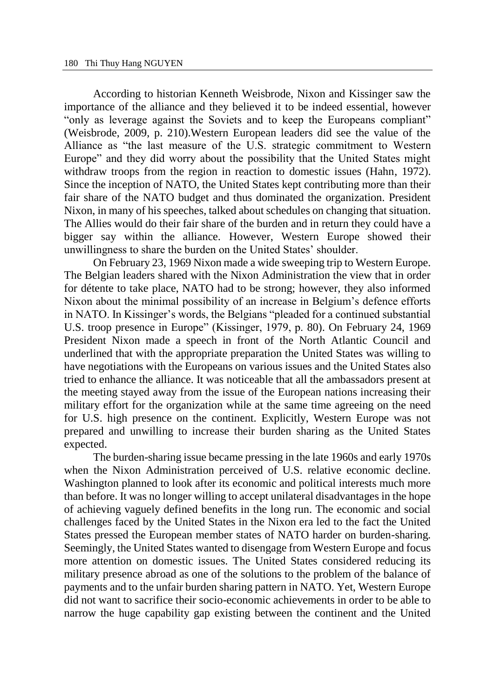According to historian Kenneth Weisbrode, Nixon and Kissinger saw the importance of the alliance and they believed it to be indeed essential, however "only as leverage against the Soviets and to keep the Europeans compliant" (Weisbrode, 2009, p. 210).Western European leaders did see the value of the Alliance as "the last measure of the U.S. strategic commitment to Western Europe" and they did worry about the possibility that the United States might withdraw troops from the region in reaction to domestic issues (Hahn, 1972). Since the inception of NATO, the United States kept contributing more than their fair share of the NATO budget and thus dominated the organization. President Nixon, in many of his speeches, talked about schedules on changing that situation. The Allies would do their fair share of the burden and in return they could have a bigger say within the alliance. However, Western Europe showed their unwillingness to share the burden on the United States' shoulder.

On February 23, 1969 Nixon made a wide sweeping trip to Western Europe. The Belgian leaders shared with the Nixon Administration the view that in order for détente to take place, NATO had to be strong; however, they also informed Nixon about the minimal possibility of an increase in Belgium's defence efforts in NATO. In Kissinger's words, the Belgians "pleaded for a continued substantial U.S. troop presence in Europe" (Kissinger, 1979, p. 80). On February 24, 1969 President Nixon made a speech in front of the North Atlantic Council and underlined that with the appropriate preparation the United States was willing to have negotiations with the Europeans on various issues and the United States also tried to enhance the alliance. It was noticeable that all the ambassadors present at the meeting stayed away from the issue of the European nations increasing their military effort for the organization while at the same time agreeing on the need for U.S. high presence on the continent. Explicitly, Western Europe was not prepared and unwilling to increase their burden sharing as the United States expected.

The burden-sharing issue became pressing in the late 1960s and early 1970s when the Nixon Administration perceived of U.S. relative economic decline. Washington planned to look after its economic and political interests much more than before. It was no longer willing to accept unilateral disadvantages in the hope of achieving vaguely defined benefits in the long run. The economic and social challenges faced by the United States in the Nixon era led to the fact the United States pressed the European member states of NATO harder on burden*-*sharing*.* Seemingly, the United States wanted to disengage from Western Europe and focus more attention on domestic issues. The United States considered reducing its military presence abroad as one of the solutions to the problem of the balance of payments and to the unfair burden sharing pattern in NATO. Yet, Western Europe did not want to sacrifice their socio-economic achievements in order to be able to narrow the huge capability gap existing between the continent and the United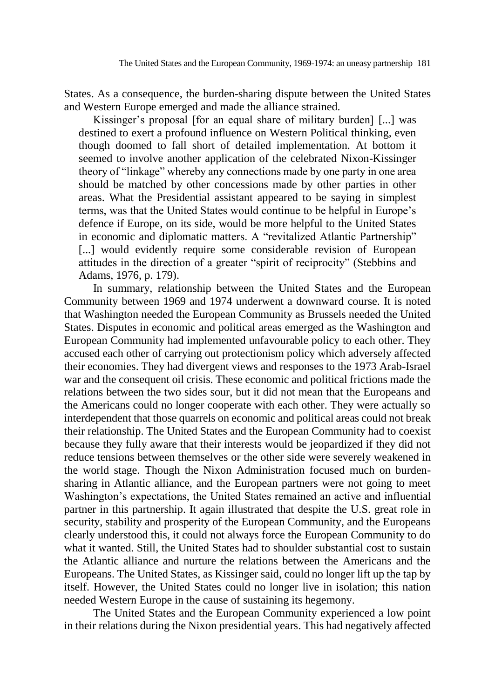States. As a consequence, the burden-sharing dispute between the United States and Western Europe emerged and made the alliance strained.

Kissinger's proposal [for an equal share of military burden] [...] was destined to exert a profound influence on Western Political thinking, even though doomed to fall short of detailed implementation. At bottom it seemed to involve another application of the celebrated Nixon-Kissinger theory of "linkage" whereby any connections made by one party in one area should be matched by other concessions made by other parties in other areas. What the Presidential assistant appeared to be saying in simplest terms, was that the United States would continue to be helpful in Europe's defence if Europe, on its side, would be more helpful to the United States in economic and diplomatic matters. A "revitalized Atlantic Partnership" [...] would evidently require some considerable revision of European attitudes in the direction of a greater "spirit of reciprocity" (Stebbins and Adams, 1976, p. 179).

In summary, relationship between the United States and the European Community between 1969 and 1974 underwent a downward course. It is noted that Washington needed the European Community as Brussels needed the United States. Disputes in economic and political areas emerged as the Washington and European Community had implemented unfavourable policy to each other. They accused each other of carrying out protectionism policy which adversely affected their economies. They had divergent views and responses to the 1973 Arab-Israel war and the consequent oil crisis. These economic and political frictions made the relations between the two sides sour, but it did not mean that the Europeans and the Americans could no longer cooperate with each other. They were actually so interdependent that those quarrels on economic and political areas could not break their relationship. The United States and the European Community had to coexist because they fully aware that their interests would be jeopardized if they did not reduce tensions between themselves or the other side were severely weakened in the world stage. Though the Nixon Administration focused much on burdensharing in Atlantic alliance, and the European partners were not going to meet Washington's expectations, the United States remained an active and influential partner in this partnership. It again illustrated that despite the U.S. great role in security, stability and prosperity of the European Community, and the Europeans clearly understood this, it could not always force the European Community to do what it wanted. Still, the United States had to shoulder substantial cost to sustain the Atlantic alliance and nurture the relations between the Americans and the Europeans. The United States, as Kissinger said, could no longer lift up the tap by itself. However, the United States could no longer live in isolation; this nation needed Western Europe in the cause of sustaining its hegemony.

The United States and the European Community experienced a low point in their relations during the Nixon presidential years. This had negatively affected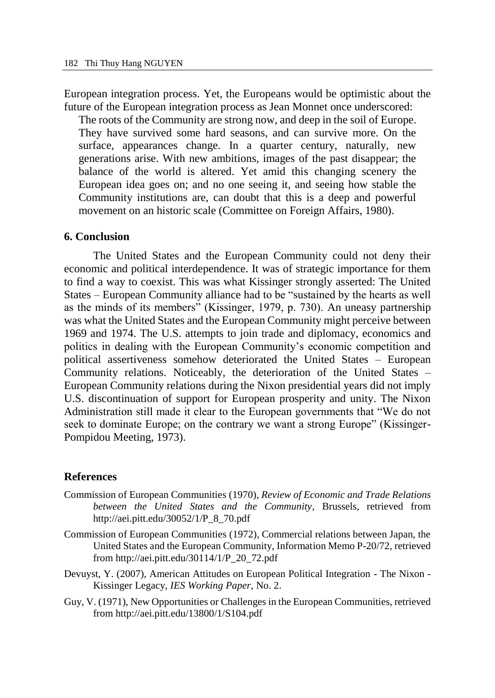European integration process. Yet, the Europeans would be optimistic about the future of the European integration process as Jean Monnet once underscored:

The roots of the Community are strong now, and deep in the soil of Europe. They have survived some hard seasons, and can survive more. On the surface, appearances change. In a quarter century, naturally, new generations arise. With new ambitions, images of the past disappear; the balance of the world is altered. Yet amid this changing scenery the European idea goes on; and no one seeing it, and seeing how stable the Community institutions are, can doubt that this is a deep and powerful movement on an historic scale (Committee on Foreign Affairs, 1980).

#### **6. Conclusion**

The United States and the European Community could not deny their economic and political interdependence. It was of strategic importance for them to find a way to coexist. This was what Kissinger strongly asserted: The United States – European Community alliance had to be "sustained by the hearts as well as the minds of its members" (Kissinger, 1979, p. 730). An uneasy partnership was what the United States and the European Community might perceive between 1969 and 1974. The U.S. attempts to join trade and diplomacy, economics and politics in dealing with the European Community's economic competition and political assertiveness somehow deteriorated the United States – European Community relations. Noticeably, the deterioration of the United States – European Community relations during the Nixon presidential years did not imply U.S. discontinuation of support for European prosperity and unity. The Nixon Administration still made it clear to the European governments that "We do not seek to dominate Europe; on the contrary we want a strong Europe" (Kissinger-Pompidou Meeting, 1973).

#### **References**

- Commission of European Communities (1970), *Review of Economic and Trade Relations between the United States and the Community*, Brussels, retrieved from http://aei.pitt.edu/30052/1/P\_8\_70.pdf
- Commission of European Communities (1972), Commercial relations between Japan, the United States and the European Community, Information Memo P-20/72, retrieved from http://aei.pitt.edu/30114/1/P\_20\_72.pdf
- Devuyst, Y. (2007), American Attitudes on European Political Integration The Nixon Kissinger Legacy, *IES Working Paper*, No. 2.
- Guy, V. (1971), New Opportunities or Challenges in the European Communities, retrieved from http://aei.pitt.edu/13800/1/S104.pdf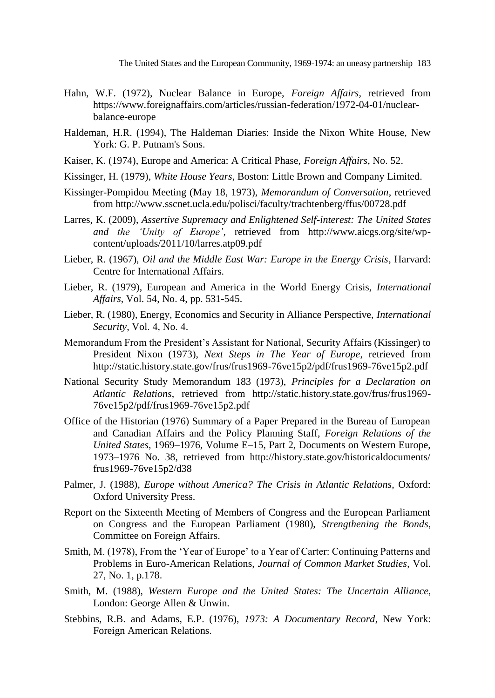- Hahn, W.F. (1972), Nuclear Balance in Europe, *Foreign Affairs*, retrieved from https://www.foreignaffairs.com/articles/russian-federation/1972-04-01/nuclearbalance-europe
- Haldeman, H.R. (1994), The Haldeman Diaries: Inside the Nixon White House, New York: G. P. Putnam's Sons.
- Kaiser, K. (1974), Europe and America: A Critical Phase, *Foreign Affairs*, No. 52.
- Kissinger, H. (1979), *White House Years*, Boston: Little Brown and Company Limited.
- Kissinger-Pompidou Meeting (May 18, 1973), *Memorandum of Conversation*, retrieved from http://www.sscnet.ucla.edu/polisci/faculty/trachtenberg/ffus/00728.pdf
- Larres, K. (2009), *Assertive Supremacy and Enlightened Self-interest: The United States and the 'Unity of Europe'*, retrieved from http://www.aicgs.org/site/wpcontent/uploads/2011/10/larres.atp09.pdf
- Lieber, R. (1967), *Oil and the Middle East War: Europe in the Energy Crisis*, Harvard: Centre for International Affairs.
- Lieber, R. (1979), European and America in the World Energy Crisis, *International Affairs*, Vol. 54, No. 4, pp. 531-545.
- Lieber, R. (1980), Energy, Economics and Security in Alliance Perspective, *International Security*, Vol. 4, No. 4.
- Memorandum From the President's Assistant for National, Security Affairs (Kissinger) to President Nixon (1973), *Next Steps in The Year of Europe*, retrieved from http://static.history.state.gov/frus/frus1969-76ve15p2/pdf/frus1969-76ve15p2.pdf
- National Security Study Memorandum 183 (1973), *Principles for a Declaration on Atlantic Relations*, retrieved from http://static.history.state.gov/frus/frus1969- 76ve15p2/pdf/frus1969-76ve15p2.pdf
- Office of the Historian (1976) Summary of a Paper Prepared in the Bureau of European and Canadian Affairs and the Policy Planning Staff, *Foreign Relations of the United States*, 1969–1976, Volume E–15, Part 2, Documents on Western Europe, 1973–1976 No. 38, retrieved from http://history.state.gov/historicaldocuments/ frus1969-76ve15p2/d38
- Palmer, J. (1988), *Europe without America? The Crisis in Atlantic Relations*, Oxford: Oxford University Press.
- Report on the Sixteenth Meeting of Members of Congress and the European Parliament on Congress and the European Parliament (1980), *Strengthening the Bonds*, Committee on Foreign Affairs.
- Smith, M. (1978), From the 'Year of Europe' to a Year of Carter: Continuing Patterns and Problems in Euro-American Relations, *Journal of Common Market Studies*, Vol. 27, No. 1, p.178.
- Smith, M. (1988), *Western Europe and the United States: The Uncertain Alliance*, London: George Allen & Unwin.
- Stebbins, R.B. and Adams, E.P. (1976), *1973: A Documentary Record*, New York: Foreign American Relations.